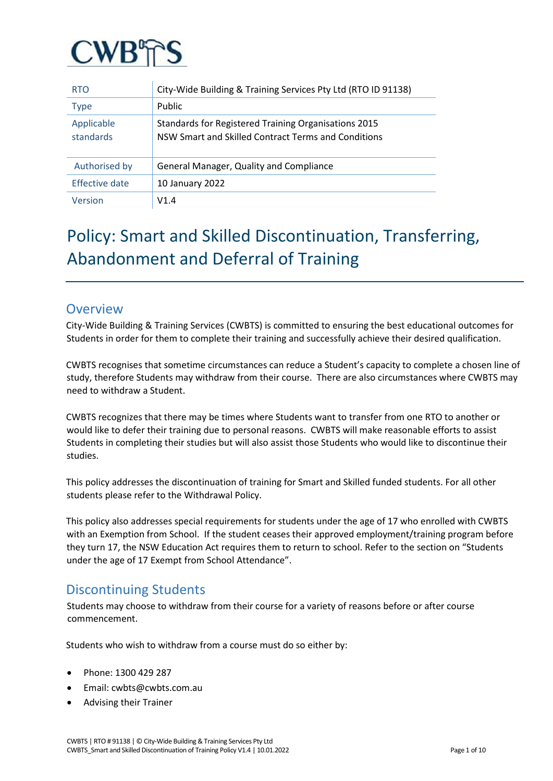

| <b>RTO</b>              | City-Wide Building & Training Services Pty Ltd (RTO ID 91138)                                               |
|-------------------------|-------------------------------------------------------------------------------------------------------------|
| Type                    | Public                                                                                                      |
| Applicable<br>standards | Standards for Registered Training Organisations 2015<br>NSW Smart and Skilled Contract Terms and Conditions |
| Authorised by           | General Manager, Quality and Compliance                                                                     |
| Effective date          | 10 January 2022                                                                                             |
| Version                 | V1.4                                                                                                        |

# Policy: Smart and Skilled Discontinuation, Transferring, Abandonment and Deferral of Training

## **Overview**

City-Wide Building & Training Services (CWBTS) is committed to ensuring the best educational outcomes for Students in order for them to complete their training and successfully achieve their desired qualification.

CWBTS recognises that sometime circumstances can reduce a Student's capacity to complete a chosen line of study, therefore Students may withdraw from their course. There are also circumstances where CWBTS may need to withdraw a Student.

CWBTS recognizes that there may be times where Students want to transfer from one RTO to another or would like to defer their training due to personal reasons. CWBTS will make reasonable efforts to assist Students in completing their studies but will also assist those Students who would like to discontinue their studies.

This policy addresses the discontinuation of training for Smart and Skilled funded students. For all other students please refer to the Withdrawal Policy.

This policy also addresses special requirements for students under the age of 17 who enrolled with CWBTS with an Exemption from School. If the student ceases their approved employment/training program before they turn 17, the NSW Education Act requires them to return to school. Refer to the section on "Students under the age of 17 Exempt from School Attendance".

## Discontinuing Students

Students may choose to withdraw from their course for a variety of reasons before or after course commencement.

Students who wish to withdraw from a course must do so either by:

- Phone: 1300 429 287
- Email: cwbts@cwbts.com.au
- Advising their Trainer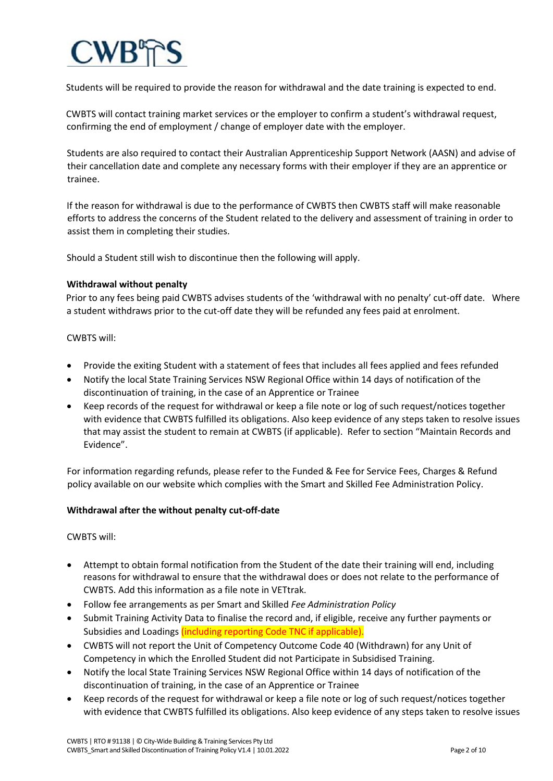Students will be required to provide the reason for withdrawal and the date training is expected to end.

CWBTS will contact training market services or the employer to confirm a student's withdrawal request, confirming the end of employment / change of employer date with the employer.

Students are also required to contact their Australian Apprenticeship Support Network (AASN) and advise of their cancellation date and complete any necessary forms with their employer if they are an apprentice or trainee.

If the reason for withdrawal is due to the performance of CWBTS then CWBTS staff will make reasonable efforts to address the concerns of the Student related to the delivery and assessment of training in order to assist them in completing their studies.

Should a Student still wish to discontinue then the following will apply.

### **Withdrawal without penalty**

Prior to any fees being paid CWBTS advises students of the 'withdrawal with no penalty' cut-off date. Where a student withdraws prior to the cut-off date they will be refunded any fees paid at enrolment.

### CWBTS will:

- Provide the exiting Student with a statement of fees that includes all fees applied and fees refunded
- Notify the local State Training Services NSW Regional Office within 14 days of notification of the discontinuation of training, in the case of an Apprentice or Trainee
- Keep records of the request for withdrawal or keep a file note or log of such request/notices together with evidence that CWBTS fulfilled its obligations. Also keep evidence of any steps taken to resolve issues that may assist the student to remain at CWBTS (if applicable). Refer to section "Maintain Records and Evidence".

For information regarding refunds, please refer to the Funded & Fee for Service Fees, Charges & Refund policy available on our website which complies with the Smart and Skilled Fee Administration Policy.

#### **Withdrawal after the without penalty cut-off-date**

#### CWBTS will:

- Attempt to obtain formal notification from the Student of the date their training will end, including reasons for withdrawal to ensure that the withdrawal does or does not relate to the performance of CWBTS. Add this information as a file note in VETtrak.
- Follow fee arrangements as per Smart and Skilled *Fee Administration Policy*
- Submit Training Activity Data to finalise the record and, if eligible, receive any further payments or Subsidies and Loadings *(including reporting Code TNC if applicable)*.
- CWBTS will not report the Unit of Competency Outcome Code 40 (Withdrawn) for any Unit of Competency in which the Enrolled Student did not Participate in Subsidised Training.
- Notify the local State Training Services NSW Regional Office within 14 days of notification of the discontinuation of training, in the case of an Apprentice or Trainee
- Keep records of the request for withdrawal or keep a file note or log of such request/notices together with evidence that CWBTS fulfilled its obligations. Also keep evidence of any steps taken to resolve issues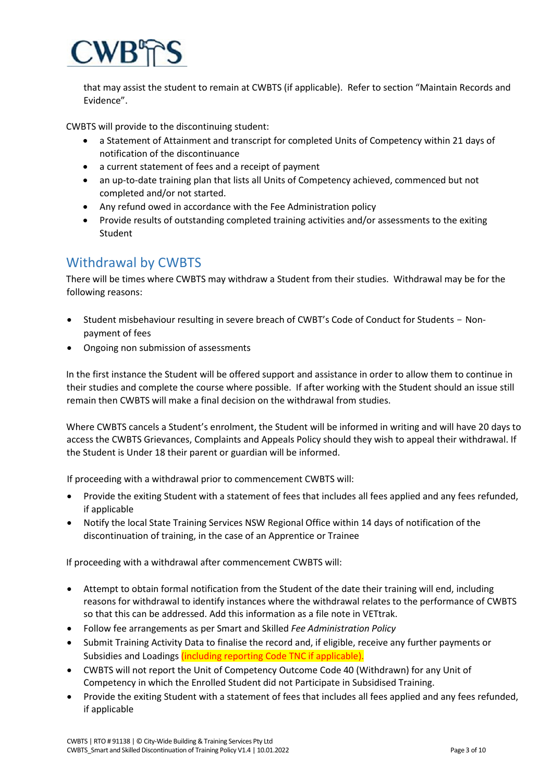

that may assist the student to remain at CWBTS (if applicable). Refer to section "Maintain Records and Evidence".

CWBTS will provide to the discontinuing student:

- a Statement of Attainment and transcript for completed Units of Competency within 21 days of notification of the discontinuance
- a current statement of fees and a receipt of payment
- an up-to-date training plan that lists all Units of Competency achieved, commenced but not completed and/or not started.
- Any refund owed in accordance with the Fee Administration policy
- Provide results of outstanding completed training activities and/or assessments to the exiting Student

## Withdrawal by CWBTS

There will be times where CWBTS may withdraw a Student from their studies. Withdrawal may be for the following reasons:

- Student misbehaviour resulting in severe breach of CWBT's Code of Conduct for Students Nonpayment of fees
- Ongoing non submission of assessments

In the first instance the Student will be offered support and assistance in order to allow them to continue in their studies and complete the course where possible. If after working with the Student should an issue still remain then CWBTS will make a final decision on the withdrawal from studies.

Where CWBTS cancels a Student's enrolment, the Student will be informed in writing and will have 20 days to access the CWBTS Grievances, Complaints and Appeals Policy should they wish to appeal their withdrawal. If the Student is Under 18 their parent or guardian will be informed.

If proceeding with a withdrawal prior to commencement CWBTS will:

- Provide the exiting Student with a statement of fees that includes all fees applied and any fees refunded, if applicable
- Notify the local State Training Services NSW Regional Office within 14 days of notification of the discontinuation of training, in the case of an Apprentice or Trainee

If proceeding with a withdrawal after commencement CWBTS will:

- Attempt to obtain formal notification from the Student of the date their training will end, including reasons for withdrawal to identify instances where the withdrawal relates to the performance of CWBTS so that this can be addressed. Add this information as a file note in VETtrak.
- Follow fee arrangements as per Smart and Skilled *Fee Administration Policy*
- Submit Training Activity Data to finalise the record and, if eligible, receive any further payments or Subsidies and Loadings *(including reporting Code TNC if applicable)*.
- CWBTS will not report the Unit of Competency Outcome Code 40 (Withdrawn) for any Unit of Competency in which the Enrolled Student did not Participate in Subsidised Training.
- Provide the exiting Student with a statement of fees that includes all fees applied and any fees refunded, if applicable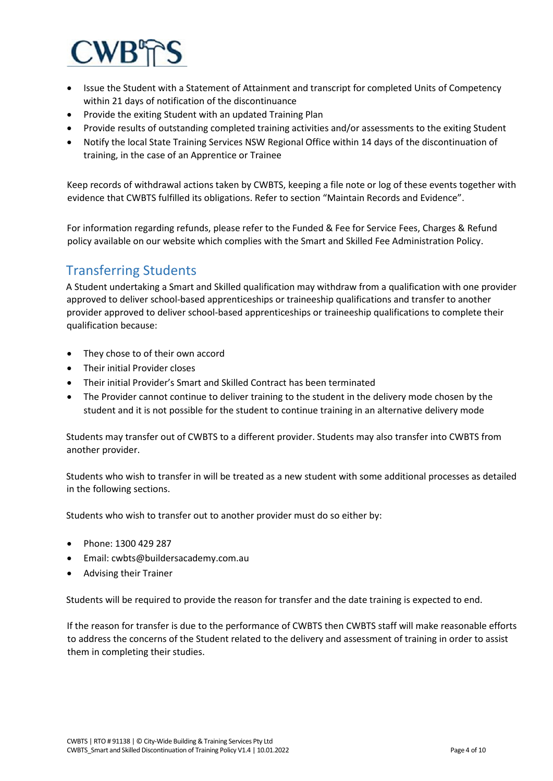

- Issue the Student with a Statement of Attainment and transcript for completed Units of Competency within 21 days of notification of the discontinuance
- Provide the exiting Student with an updated Training Plan
- Provide results of outstanding completed training activities and/or assessments to the exiting Student
- Notify the local State Training Services NSW Regional Office within 14 days of the discontinuation of training, in the case of an Apprentice or Trainee

Keep records of withdrawal actions taken by CWBTS, keeping a file note or log of these events together with evidence that CWBTS fulfilled its obligations. Refer to section "Maintain Records and Evidence".

For information regarding refunds, please refer to the Funded & Fee for Service Fees, Charges & Refund policy available on our website which complies with the Smart and Skilled Fee Administration Policy.

## Transferring Students

A Student undertaking a Smart and Skilled qualification may withdraw from a qualification with one provider approved to deliver school-based apprenticeships or traineeship qualifications and transfer to another provider approved to deliver school-based apprenticeships or traineeship qualifications to complete their qualification because:

- They chose to of their own accord
- Their initial Provider closes
- Their initial Provider's Smart and Skilled Contract has been terminated
- The Provider cannot continue to deliver training to the student in the delivery mode chosen by the student and it is not possible for the student to continue training in an alternative delivery mode

Students may transfer out of CWBTS to a different provider. Students may also transfer into CWBTS from another provider.

Students who wish to transfer in will be treated as a new student with some additional processes as detailed in the following sections.

Students who wish to transfer out to another provider must do so either by:

- Phone: 1300 429 287
- Email: cwbts@buildersacademy.com.au
- Advising their Trainer

Students will be required to provide the reason for transfer and the date training is expected to end.

If the reason for transfer is due to the performance of CWBTS then CWBTS staff will make reasonable efforts to address the concerns of the Student related to the delivery and assessment of training in order to assist them in completing their studies.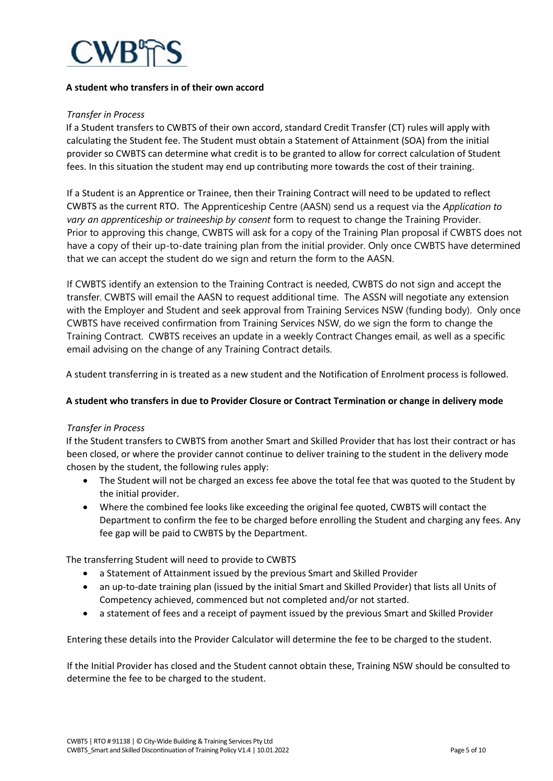

#### **A student who transfers in of their own accord**

#### *Transfer in Process*

If a Student transfers to CWBTS of their own accord, standard Credit Transfer (CT) rules will apply with calculating the Student fee. The Student must obtain a Statement of Attainment (SOA) from the initial provider so CWBTS can determine what credit is to be granted to allow for correct calculation of Student fees. In this situation the student may end up contributing more towards the cost of their training.

If a Student is an Apprentice or Trainee, then their Training Contract will need to be updated to reflect CWBTS as the current RTO. The Apprenticeship Centre (AASN) send us a request via the *Application to vary an apprenticeship or traineeship by consent* form to request to change the Training Provider. Prior to approving this change, CWBTS will ask for a copy of the Training Plan proposal if CWBTS does not have a copy of their up-to-date training plan from the initial provider. Only once CWBTS have determined that we can accept the student do we sign and return the form to the AASN.

If CWBTS identify an extension to the Training Contract is needed, CWBTS do not sign and accept the transfer. CWBTS will email the AASN to request additional time. The ASSN will negotiate any extension with the Employer and Student and seek approval from Training Services NSW (funding body). Only once CWBTS have received confirmation from Training Services NSW, do we sign the form to change the Training Contract. CWBTS receives an update in a weekly Contract Changes email, as well as a specific email advising on the change of any Training Contract details.

A student transferring in is treated as a new student and the Notification of Enrolment process is followed.

#### **A student who transfers in due to Provider Closure or Contract Termination or change in delivery mode**

#### *Transfer in Process*

If the Student transfers to CWBTS from another Smart and Skilled Provider that has lost their contract or has been closed, or where the provider cannot continue to deliver training to the student in the delivery mode chosen by the student, the following rules apply:

- The Student will not be charged an excess fee above the total fee that was quoted to the Student by the initial provider.
- Where the combined fee looks like exceeding the original fee quoted, CWBTS will contact the Department to confirm the fee to be charged before enrolling the Student and charging any fees. Any fee gap will be paid to CWBTS by the Department.

The transferring Student will need to provide to CWBTS

- a Statement of Attainment issued by the previous Smart and Skilled Provider
- an up-to-date training plan (issued by the initial Smart and Skilled Provider) that lists all Units of Competency achieved, commenced but not completed and/or not started.
- a statement of fees and a receipt of payment issued by the previous Smart and Skilled Provider

Entering these details into the Provider Calculator will determine the fee to be charged to the student.

If the Initial Provider has closed and the Student cannot obtain these, Training NSW should be consulted to determine the fee to be charged to the student.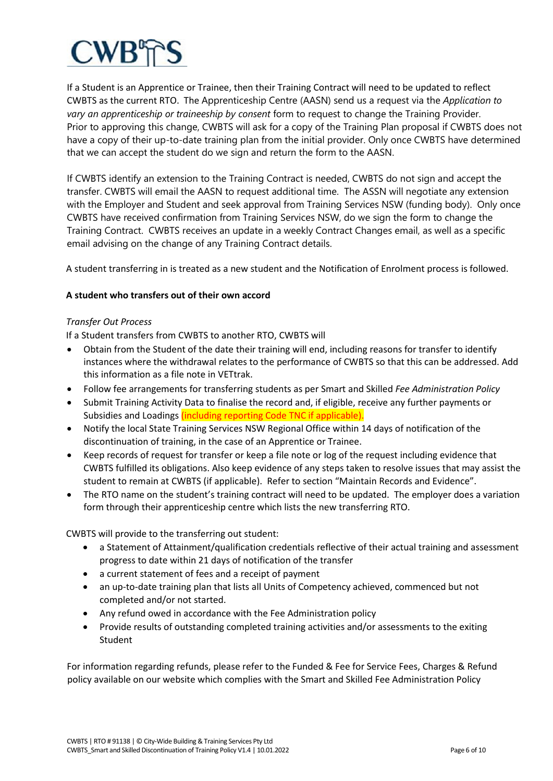If a Student is an Apprentice or Trainee, then their Training Contract will need to be updated to reflect CWBTS as the current RTO. The Apprenticeship Centre (AASN) send us a request via the *Application to vary an apprenticeship or traineeship by consent* form to request to change the Training Provider. Prior to approving this change, CWBTS will ask for a copy of the Training Plan proposal if CWBTS does not have a copy of their up-to-date training plan from the initial provider. Only once CWBTS have determined that we can accept the student do we sign and return the form to the AASN.

If CWBTS identify an extension to the Training Contract is needed, CWBTS do not sign and accept the transfer. CWBTS will email the AASN to request additional time. The ASSN will negotiate any extension with the Employer and Student and seek approval from Training Services NSW (funding body). Only once CWBTS have received confirmation from Training Services NSW, do we sign the form to change the Training Contract. CWBTS receives an update in a weekly Contract Changes email, as well as a specific email advising on the change of any Training Contract details.

A student transferring in is treated as a new student and the Notification of Enrolment process is followed.

### **A student who transfers out of their own accord**

#### *Transfer Out Process*

If a Student transfers from CWBTS to another RTO, CWBTS will

- Obtain from the Student of the date their training will end, including reasons for transfer to identify instances where the withdrawal relates to the performance of CWBTS so that this can be addressed. Add this information as a file note in VETtrak.
- Follow fee arrangements for transferring students as per Smart and Skilled *Fee Administration Policy*
- Submit Training Activity Data to finalise the record and, if eligible, receive any further payments or Subsidies and Loadings *(including reporting Code TNC if applicable)*.
- Notify the local State Training Services NSW Regional Office within 14 days of notification of the discontinuation of training, in the case of an Apprentice or Trainee.
- Keep records of request for transfer or keep a file note or log of the request including evidence that CWBTS fulfilled its obligations. Also keep evidence of any steps taken to resolve issues that may assist the student to remain at CWBTS (if applicable). Refer to section "Maintain Records and Evidence".
- The RTO name on the student's training contract will need to be updated. The employer does a variation form through their apprenticeship centre which lists the new transferring RTO.

CWBTS will provide to the transferring out student:

- a Statement of Attainment/qualification credentials reflective of their actual training and assessment progress to date within 21 days of notification of the transfer
- a current statement of fees and a receipt of payment
- an up-to-date training plan that lists all Units of Competency achieved, commenced but not completed and/or not started.
- Any refund owed in accordance with the Fee Administration policy
- Provide results of outstanding completed training activities and/or assessments to the exiting Student

For information regarding refunds, please refer to the Funded & Fee for Service Fees, Charges & Refund policy available on our website which complies with the Smart and Skilled Fee Administration Policy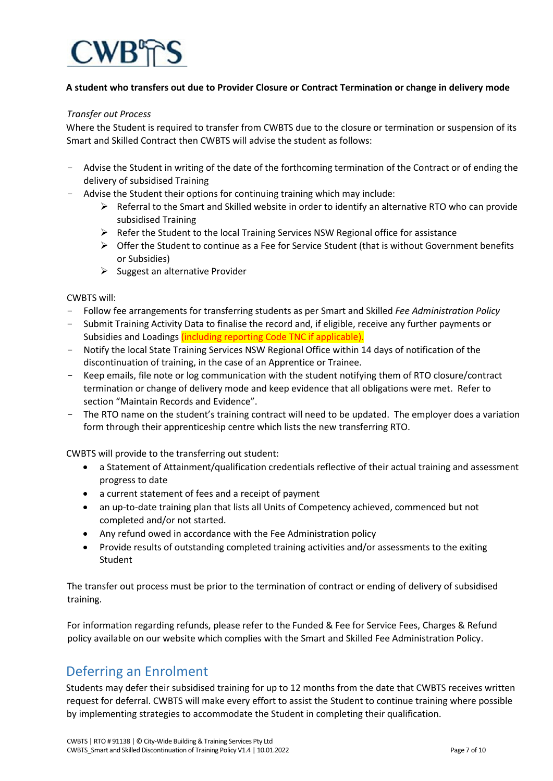

#### **A student who transfers out due to Provider Closure or Contract Termination or change in delivery mode**

#### *Transfer out Process*

Where the Student is required to transfer from CWBTS due to the closure or termination or suspension of its Smart and Skilled Contract then CWBTS will advise the student as follows:

- Advise the Student in writing of the date of the forthcoming termination of the Contract or of ending the delivery of subsidised Training
- Advise the Student their options for continuing training which may include:
	- $\triangleright$  Referral to the Smart and Skilled website in order to identify an alternative RTO who can provide subsidised Training
	- Refer the Student to the local Training Services NSW Regional office for assistance
	- $\triangleright$  Offer the Student to continue as a Fee for Service Student (that is without Government benefits or Subsidies)
	- $\triangleright$  Suggest an alternative Provider

CWBTS will:

- Follow fee arrangements for transferring students as per Smart and Skilled *Fee Administration Policy*
- Submit Training Activity Data to finalise the record and, if eligible, receive any further payments or Subsidies and Loadings *(including reporting Code TNC if applicable)*.
- Notify the local State Training Services NSW Regional Office within 14 days of notification of the discontinuation of training, in the case of an Apprentice or Trainee.
- Keep emails, file note or log communication with the student notifying them of RTO closure/contract termination or change of delivery mode and keep evidence that all obligations were met. Refer to section "Maintain Records and Evidence".
- The RTO name on the student's training contract will need to be updated. The employer does a variation form through their apprenticeship centre which lists the new transferring RTO.

CWBTS will provide to the transferring out student:

- a Statement of Attainment/qualification credentials reflective of their actual training and assessment progress to date
- a current statement of fees and a receipt of payment
- an up-to-date training plan that lists all Units of Competency achieved, commenced but not completed and/or not started.
- Any refund owed in accordance with the Fee Administration policy
- Provide results of outstanding completed training activities and/or assessments to the exiting **Student**

The transfer out process must be prior to the termination of contract or ending of delivery of subsidised training.

For information regarding refunds, please refer to the Funded & Fee for Service Fees, Charges & Refund policy available on our website which complies with the Smart and Skilled Fee Administration Policy.

## Deferring an Enrolment

Students may defer their subsidised training for up to 12 months from the date that CWBTS receives written request for deferral. CWBTS will make every effort to assist the Student to continue training where possible by implementing strategies to accommodate the Student in completing their qualification.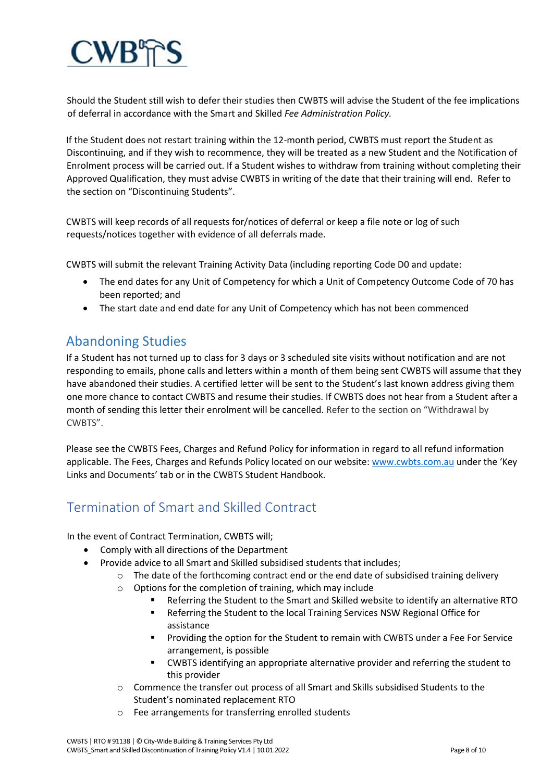

Should the Student still wish to defer their studies then CWBTS will advise the Student of the fee implications of deferral in accordance with the Smart and Skilled *Fee Administration Policy.*

If the Student does not restart training within the 12-month period, CWBTS must report the Student as Discontinuing, and if they wish to recommence, they will be treated as a new Student and the Notification of Enrolment process will be carried out. If a Student wishes to withdraw from training without completing their Approved Qualification, they must advise CWBTS in writing of the date that their training will end. Refer to the section on "Discontinuing Students".

CWBTS will keep records of all requests for/notices of deferral or keep a file note or log of such requests/notices together with evidence of all deferrals made.

CWBTS will submit the relevant Training Activity Data (including reporting Code D0 and update:

- The end dates for any Unit of Competency for which a Unit of Competency Outcome Code of 70 has been reported; and
- The start date and end date for any Unit of Competency which has not been commenced

## Abandoning Studies

If a Student has not turned up to class for 3 days or 3 scheduled site visits without notification and are not responding to emails, phone calls and letters within a month of them being sent CWBTS will assume that they have abandoned their studies. A certified letter will be sent to the Student's last known address giving them one more chance to contact CWBTS and resume their studies. If CWBTS does not hear from a Student after a month of sending this letter their enrolment will be cancelled. Refer to the section on "Withdrawal by CWBTS".

Please see the CWBTS Fees, Charges and Refund Policy for information in regard to all refund information applicable. The Fees, Charges and Refunds Policy located on our website[: www.cwbts.com.au](http://www.cwbts.com.au/) [u](http://www.cwbts.com.au/)nder the 'Key Links and Documents' tab or in the CWBTS Student Handbook.

## Termination of Smart and Skilled Contract

In the event of Contract Termination, CWBTS will;

- Comply with all directions of the Department
- Provide advice to all Smart and Skilled subsidised students that includes;
	- $\circ$  The date of the forthcoming contract end or the end date of subsidised training delivery
	- o Options for the completion of training, which may include
		- Referring the Student to the Smart and Skilled website to identify an alternative RTO
		- Referring the Student to the local Training Services NSW Regional Office for assistance
		- Providing the option for the Student to remain with CWBTS under a Fee For Service arrangement, is possible
		- CWBTS identifying an appropriate alternative provider and referring the student to this provider
	- o Commence the transfer out process of all Smart and Skills subsidised Students to the Student's nominated replacement RTO
	- o Fee arrangements for transferring enrolled students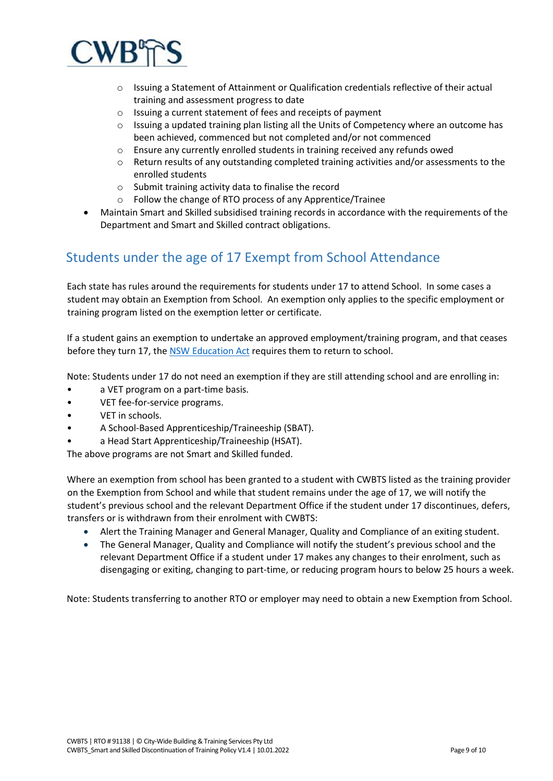

- o Issuing a Statement of Attainment or Qualification credentials reflective of their actual training and assessment progress to date
- o Issuing a current statement of fees and receipts of payment
- o Issuing a updated training plan listing all the Units of Competency where an outcome has been achieved, commenced but not completed and/or not commenced
- o Ensure any currently enrolled students in training received any refunds owed
- o Return results of any outstanding completed training activities and/or assessments to the enrolled students
- o Submit training activity data to finalise the record
- o Follow the change of RTO process of any Apprentice/Trainee
- Maintain Smart and Skilled subsidised training records in accordance with the requirements of the Department and Smart and Skilled contract obligations.

## Students under the age of 17 Exempt from School Attendance

Each state has rules around the requirements for students under 17 to attend School. In some cases a student may obtain an Exemption from School. An exemption only applies to the specific employment or training program listed on the exemption letter or certificate.

If a student gains an exemption to undertake an approved employment/training program, and that ceases before they turn 17, th[e NSW Education Act](https://legislation.nsw.gov.au/view/html/inforce/current/act-1990-008) requires them to return to school.

Note: Students under 17 do not need an exemption if they are still attending school and are enrolling in:

- a VET program on a part-time basis.
- VET fee-for-service programs.
- VET in schools.
- A School-Based Apprenticeship/Traineeship (SBAT).
- a Head Start Apprenticeship/Traineeship (HSAT).

The above programs are not Smart and Skilled funded.

Where an exemption from school has been granted to a student with CWBTS listed as the training provider on the Exemption from School and while that student remains under the age of 17, we will notify the student's previous school and the relevant Department Office if the student under 17 discontinues, defers, transfers or is withdrawn from their enrolment with CWBTS:

- Alert the Training Manager and General Manager, Quality and Compliance of an exiting student.
- The General Manager, Quality and Compliance will notify the student's previous school and the relevant Department Office if a student under 17 makes any changes to their enrolment, such as disengaging or exiting, changing to part-time, or reducing program hours to below 25 hours a week.

Note: Students transferring to another RTO or employer may need to obtain a new Exemption from School.